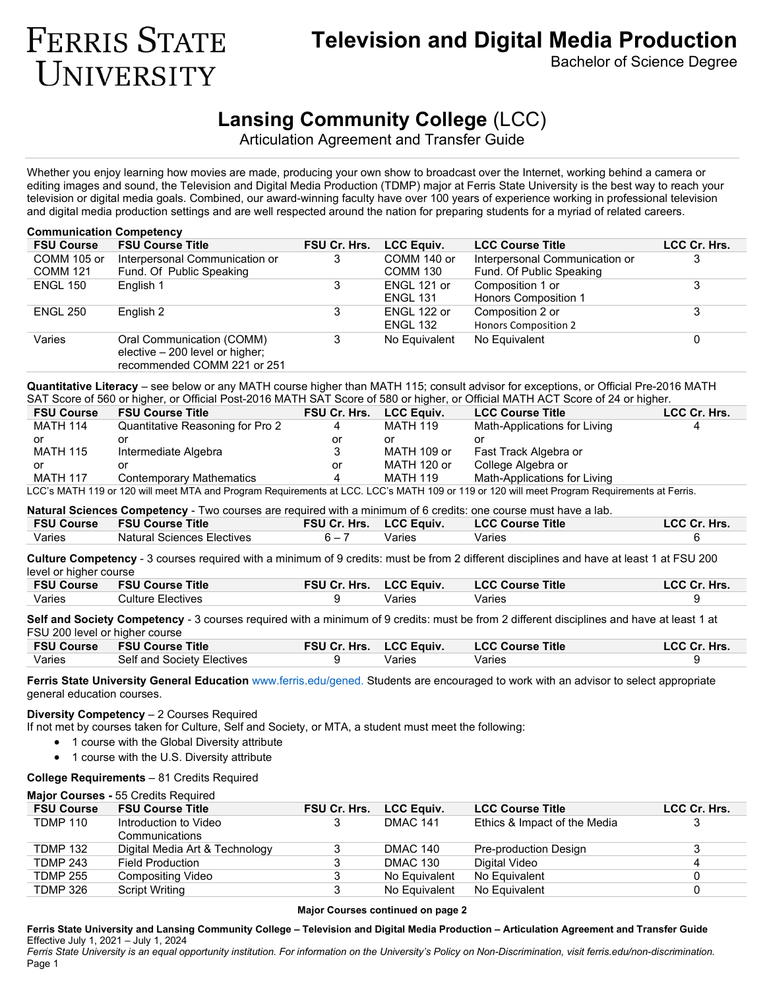# **Television and Digital Media Production**

Bachelor of Science Degree

# **Lansing Community College** (LCC)

Articulation Agreement and Transfer Guide

Whether you enjoy learning how movies are made, producing your own show to broadcast over the Internet, working behind a camera or editing images and sound, the Television and Digital Media Production (TDMP) major at Ferris State University is the best way to reach your television or digital media goals. Combined, our award-winning faculty have over 100 years of experience working in professional television and digital media production settings and are well respected around the nation for preparing students for a myriad of related careers.

| <b>Communication Competency</b> |                                                                                             |              |                   |                                |              |  |  |
|---------------------------------|---------------------------------------------------------------------------------------------|--------------|-------------------|--------------------------------|--------------|--|--|
| <b>FSU Course</b>               | <b>FSU Course Title</b>                                                                     | FSU Cr. Hrs. | <b>LCC Equiv.</b> | <b>LCC Course Title</b>        | LCC Cr. Hrs. |  |  |
| COMM 105 or                     | Interpersonal Communication or                                                              | 3            | COMM 140 or       | Interpersonal Communication or | 3            |  |  |
| <b>COMM 121</b>                 | Fund. Of Public Speaking                                                                    |              | COMM 130          | Fund. Of Public Speaking       |              |  |  |
| <b>ENGL 150</b>                 | English 1                                                                                   | 3            | ENGL 121 or       | Composition 1 or               | 3            |  |  |
|                                 |                                                                                             |              | <b>ENGL 131</b>   | Honors Composition 1           |              |  |  |
| <b>ENGL 250</b>                 | English 2                                                                                   | 3            | ENGL 122 or       | Composition 2 or               | 3            |  |  |
|                                 |                                                                                             |              | <b>ENGL 132</b>   | <b>Honors Composition 2</b>    |              |  |  |
| Varies                          | Oral Communication (COMM)<br>elective – 200 level or higher;<br>recommended COMM 221 or 251 | 3            | No Equivalent     | No Equivalent                  |              |  |  |
|                                 |                                                                                             |              |                   |                                |              |  |  |

**Quantitative Literacy** – see below or any MATH course higher than MATH 115; consult advisor for exceptions, or Official Pre-2016 MATH SAT Score of 560 or higher, or Official Post-2016 MATH SAT Score of 580 or higher, or Official MATH ACT Score of 24 or higher.

| <b>FSU Course</b> | <b>FSU Course Title</b>                                                                                                                     | <b>FSU Cr. Hrs.</b> | <b>LCC Equiv.</b> | <b>LCC Course Title</b>      | LCC Cr. Hrs. |  |  |
|-------------------|---------------------------------------------------------------------------------------------------------------------------------------------|---------------------|-------------------|------------------------------|--------------|--|--|
| <b>MATH 114</b>   | Quantitative Reasoning for Pro 2                                                                                                            | 4                   | <b>MATH 119</b>   | Math-Applications for Living |              |  |  |
| or                | or                                                                                                                                          | or                  | or                | or                           |              |  |  |
| <b>MATH 115</b>   | Intermediate Algebra                                                                                                                        |                     | MATH 109 or       | Fast Track Algebra or        |              |  |  |
| or                |                                                                                                                                             | or                  | MATH 120 or       | College Algebra or           |              |  |  |
| <b>MATH 117</b>   | <b>Contemporary Mathematics</b>                                                                                                             | Δ                   | MATH 119          | Math-Applications for Living |              |  |  |
|                   | LCC's MATH 119 or 120 will meet MTA and Program Requirements at LCC. LCC's MATH 109 or 119 or 120 will meet Program Requirements at Ferris. |                     |                   |                              |              |  |  |

**Natural Sciences Competency** - Two courses are required with a minimum of 6 credits: one course must have a lab.

| <b>FSU Course</b> | <b>FSU Course Title</b>    | <b>FSU Cr. Hrs. LCC Equiv.</b> |        | <b>LCC Course Title</b> | LCC Cr. Hrs. |
|-------------------|----------------------------|--------------------------------|--------|-------------------------|--------------|
| Varies            | Natural Sciences Electives | $6 - 7$                        | Varies | Varies                  |              |

**Culture Competency** - 3 courses required with a minimum of 9 credits: must be from 2 different disciplines and have at least 1 at FSU 200 level or higher course

| <b>FSU Course</b> | <b>FSU Course Title</b> | <b>FSU Cr. Hrs. LCC Equiv.</b> |        | <b>LCC Course Title</b> | LCC Cr. Hrs. |
|-------------------|-------------------------|--------------------------------|--------|-------------------------|--------------|
| Varies            | Culture Electives       |                                | Varies | Varies                  |              |

**Self and Society Competency** - 3 courses required with a minimum of 9 credits: must be from 2 different disciplines and have at least 1 at FSU 200 level or higher course

|        | <b>FSU Course FSU Course Title</b> | <b>FSU Cr. Hrs. LCC Equiv.</b> | <b>LCC Course Title</b> | LCC Cr. Hrs. |
|--------|------------------------------------|--------------------------------|-------------------------|--------------|
| Varies | Self and Society Electives         | Varies                         | Varies                  |              |

**Ferris State University General Education** [www.ferris.edu/gened.](http://www.ferris.edu/gened) Students are encouraged to work with an advisor to select appropriate general education courses.

# **Diversity Competency** – 2 Courses Required

**FERRIS STATE** 

UNIVERSITY

If not met by courses taken for Culture, Self and Society, or MTA, a student must meet the following:

- 1 course with the Global Diversity attribute
- 1 course with the U.S. Diversity attribute

#### **College Requirements** – 81 Credits Required

#### **Major Courses -** 55 Credits Required

| <b>FSU Course</b> | <b>FSU Course Title</b>        | FSU Cr. Hrs. | <b>LCC Equiv.</b> | <b>LCC Course Title</b>      | LCC Cr. Hrs. |
|-------------------|--------------------------------|--------------|-------------------|------------------------------|--------------|
| <b>TDMP 110</b>   | Introduction to Video          |              | <b>DMAC 141</b>   | Ethics & Impact of the Media |              |
|                   | Communications                 |              |                   |                              |              |
| <b>TDMP 132</b>   | Digital Media Art & Technology |              | <b>DMAC 140</b>   | Pre-production Design        | 3            |
| <b>TDMP 243</b>   | <b>Field Production</b>        |              | <b>DMAC 130</b>   | Digital Video                | 4            |
| <b>TDMP 255</b>   | <b>Compositing Video</b>       |              | No Equivalent     | No Equivalent                |              |
| <b>TDMP 326</b>   | <b>Script Writing</b>          |              | No Equivalent     | No Equivalent                |              |
|                   |                                |              |                   |                              |              |

#### **Major Courses continued on page 2**

**Ferris State University and Lansing Community College – Television and Digital Media Production – Articulation Agreement and Transfer Guide** Effective July 1, 2021 – July 1, 2024

*Ferris State University is an equal opportunity institution. For information on the University's Policy on Non-Discrimination, visit ferris.edu/non-discrimination.* Page 1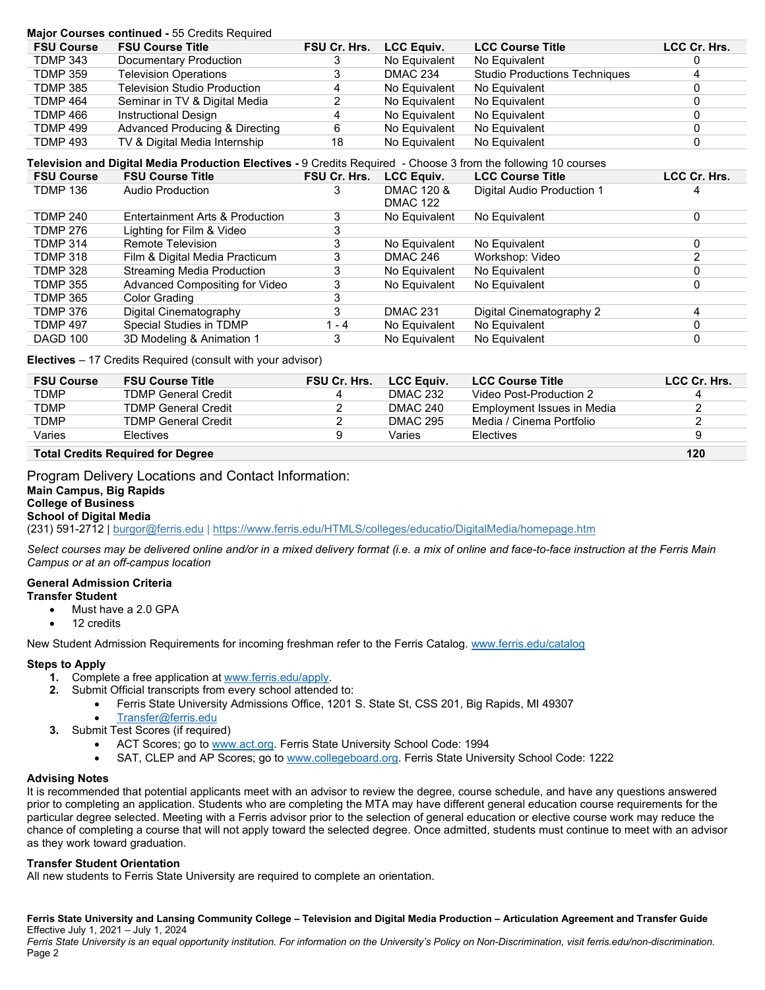| Major Courses continued - 55 Credits Required |                                |                     |                   |                                      |              |  |  |
|-----------------------------------------------|--------------------------------|---------------------|-------------------|--------------------------------------|--------------|--|--|
| <b>FSU Course</b>                             | <b>FSU Course Title</b>        | <b>FSU Cr. Hrs.</b> | <b>LCC Equiv.</b> | <b>LCC Course Title</b>              | LCC Cr. Hrs. |  |  |
| <b>TDMP 343</b>                               | Documentary Production         |                     | No Equivalent     | No Equivalent                        |              |  |  |
| <b>TDMP 359</b>                               | <b>Television Operations</b>   |                     | <b>DMAC 234</b>   | <b>Studio Productions Techniques</b> |              |  |  |
| <b>TDMP 385</b>                               | Television Studio Production   | 4                   | No Equivalent     | No Equivalent                        |              |  |  |
| <b>TDMP 464</b>                               | Seminar in TV & Digital Media  |                     | No Equivalent     | No Equivalent                        |              |  |  |
| TDMP 466                                      | <b>Instructional Design</b>    |                     | No Equivalent     | No Equivalent                        |              |  |  |
| <b>TDMP 499</b>                               | Advanced Producing & Directing | 6                   | No Equivalent     | No Equivalent                        |              |  |  |
| <b>TDMP 493</b>                               | TV & Digital Media Internship  | 18                  | No Equivalent     | No Equivalent                        |              |  |  |

# **Television and Digital Media Production Electives -** 9 Credits Required - Choose 3 from the following 10 courses

| <b>FSU Course</b> | <b>FSU Course Title</b>         | FSU Cr. Hrs. | <b>LCC Equiv.</b> | <b>LCC Course Title</b>    | LCC Cr. Hrs. |
|-------------------|---------------------------------|--------------|-------------------|----------------------------|--------------|
| <b>TDMP 136</b>   | <b>Audio Production</b>         |              | DMAC 120 &        | Digital Audio Production 1 |              |
|                   |                                 |              | <b>DMAC 122</b>   |                            |              |
| <b>TDMP 240</b>   | Entertainment Arts & Production | 3            | No Equivalent     | No Equivalent              | $\Omega$     |
| <b>TDMP 276</b>   | Lighting for Film & Video       |              |                   |                            |              |
| <b>TDMP 314</b>   | Remote Television               |              | No Equivalent     | No Equivalent              |              |
| <b>TDMP 318</b>   | Film & Digital Media Practicum  |              | DMAC 246          | Workshop: Video            |              |
| <b>TDMP 328</b>   | Streaming Media Production      |              | No Equivalent     | No Equivalent              |              |
| <b>TDMP 355</b>   | Advanced Compositing for Video  |              | No Equivalent     | No Equivalent              |              |
| <b>TDMP 365</b>   | Color Grading                   |              |                   |                            |              |
| <b>TDMP 376</b>   | Digital Cinematography          | 3            | <b>DMAC 231</b>   | Digital Cinematography 2   | 4            |
| <b>TDMP 497</b>   | Special Studies in TDMP         | $-4$         | No Equivalent     | No Equivalent              |              |
| DAGD 100          | 3D Modeling & Animation 1       | 3            | No Equivalent     | No Equivalent              |              |
|                   |                                 |              |                   |                            |              |

#### **Electives** – 17 Credits Required (consult with your advisor)

| <b>FSU Course</b> | <b>FSU Course Title</b>    | FSU Cr. Hrs. | <b>LCC Equiv.</b> | <b>LCC Course Title</b>    | LCC Cr. Hrs. |
|-------------------|----------------------------|--------------|-------------------|----------------------------|--------------|
| <b>TDMP</b>       | <b>TDMP General Credit</b> | 4            | DMAC 232          | Video Post-Production 2    | $\Delta$     |
| <b>TDMP</b>       | <b>TDMP General Credit</b> |              | DMAC 240          | Employment Issues in Media |              |
| <b>TDMP</b>       | <b>TDMP General Credit</b> |              | DMAC 295          | Media / Cinema Portfolio   |              |
| Varies            | <b>Flectives</b>           |              | Varies            | <b>Flectives</b>           | u            |
| _ _ _ _           |                            |              |                   |                            | - - -        |

#### **Total Credits Required for Degree 120**

# Program Delivery Locations and Contact Information: **Main Campus, Big Rapids College of Business School of Digital Media**

(231) 591-2712 [| burgor@ferris.edu](mailto:burgor@ferris.edu) [| https://www.ferris.edu/HTMLS/colleges/educatio/DigitalMedia/homepage.htm](https://www.ferris.edu/HTMLS/colleges/educatio/DigitalMedia/homepage.htm)

*Select courses may be delivered online and/or in a mixed delivery format (i.e. a mix of online and face-to-face instruction at the Ferris Main Campus or at an off-campus location*

# **General Admission Criteria**

### **Transfer Student**

- Must have a 2.0 GPA
- 12 credits

New Student Admission Requirements for incoming freshman refer to the Ferris Catalog. [www.ferris.edu/catalog](http://www.ferris.edu/catalog)

#### **Steps to Apply**

- **1.** Complete a free application a[t www.ferris.edu/apply.](http://www.ferris.edu/apply)
- **2.** Submit Official transcripts from every school attended to:
	- Ferris State University Admissions Office, 1201 S. State St, CSS 201, Big Rapids, MI 49307
	- [Transfer@ferris.edu](mailto:Transfer@ferris.edu)
- **3.** Submit Test Scores (if required)
	- ACT Scores; go t[o www.act.org.](http://www.act.org/) Ferris State University School Code: 1994
	- SAT, CLEP and AP Scores; go t[o www.collegeboard.org.](http://www.collegeboard.org/) Ferris State University School Code: 1222

#### **Advising Notes**

It is recommended that potential applicants meet with an advisor to review the degree, course schedule, and have any questions answered prior to completing an application. Students who are completing the MTA may have different general education course requirements for the particular degree selected. Meeting with a Ferris advisor prior to the selection of general education or elective course work may reduce the chance of completing a course that will not apply toward the selected degree. Once admitted, students must continue to meet with an advisor as they work toward graduation.

#### **Transfer Student Orientation**

All new students to Ferris State University are required to complete an orientation.

**Ferris State University and Lansing Community College – Television and Digital Media Production – Articulation Agreement and Transfer Guide** Effective July 1, 2021 – July 1, 2024

*Ferris State University is an equal opportunity institution. For information on the University's Policy on Non-Discrimination, visit ferris.edu/non-discrimination.* Page 2